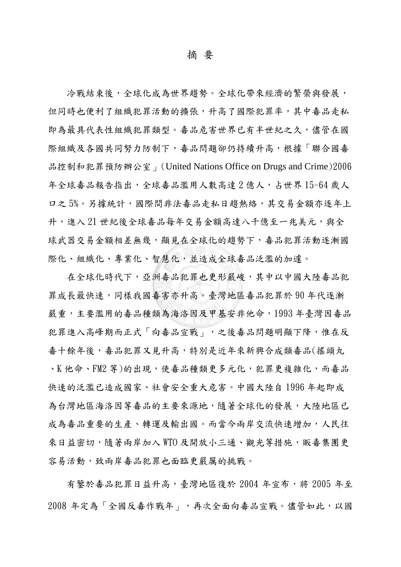摘 要

冷戰結束後,全球化成為世界趨勢。全球化帶來經濟的繁榮與發展, 但同時也便利了組織犯罪活動的擴張,升高了國際犯罪率,其中毒品走私 即為最具代表性組織犯罪類型。毒品危害世界已有半世紀之久,儘管在國 際組織及各國共同努力防制下,毒品問題卻仍持續升高,根據「聯合國毒 品控制和犯罪預防辦公室」(United Nations Office on Drugs and Crime)2006 年全球毒品報告指出,全球毒品濫用人數高達 2 億人,占世界 15-64 歲人 口之5%。另據統計,國際間非法毒品走私日趨熱絡,其交易金額亦逐年上 升,進入 21 世紀後全球毒品每年交易金額高達八千億至一兆美元,與全 球武器交易金額相差無幾,顯見在全球化的趨勢下,毒品犯罪活動逐漸國 際化、組織化、專業化、智慧化,並造成全球毒品泛濫的加遽。

在全球化時代下,亞洲毒品犯罪也更形嚴峻,其中以中國大陸毒品犯 罪成長最快速,同樣我國毒害亦升高。臺灣地區毒品犯罪於 90 年代逐漸 嚴重,主要濫用的毒品種類為海洛因及甲基安非他命,1993年臺灣因毒品 犯罪進入高峰期而正式「向毒品宣戰」,之後毒品問題明顯下降,惟在反 毒十餘年後,毒品犯罪又見升高,特別是近年來新興合成類毒品(搖頭丸 、K 他命、FM2 等)的出現,使毒品種類更多元化,犯罪更複雜化,而毒品 快速的泛濫已造成國家、社會安全重大危害。中國大陸自 1996 年起即成 為台灣地區海洛因等毒品的主要來源地,隨著全球化的發展,大陸地區已 成為毒品重要的生產、轉運及輸出國。而當今兩岸交流快速增加,人民往 來日益密切,隨著兩岸加入 WTO 及開放小三通、觀光等措施,販毒集團更 容易活動,致兩岸毒品犯罪也面臨更嚴厲的挑戰。

有鑒於毒品犯罪日益升高,臺灣地區復於 2004 年宣布,將 2005 年至 2008 年定為「全國反毒作戰年」,再次全面向毒品宣戰。儘管如此,以國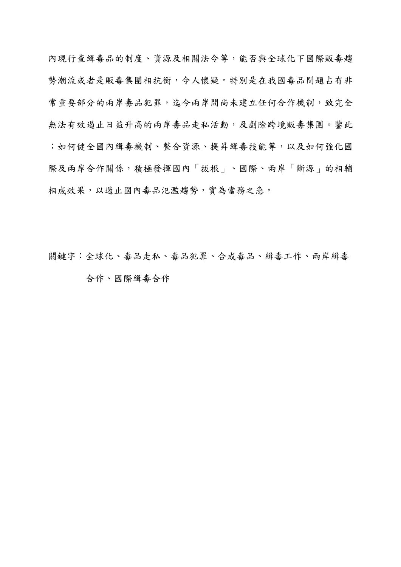內現行查緝毒品的制度、資源及相關法令等,能否與全球化下國際販毒趨 勢潮流或者是販毒集團相抗衡,令人懷疑。特別是在我國毒品問題占有非 常重要部分的兩岸毒品犯罪,迄今兩岸間尚未建立任何合作機制,致完全 無法有效遏止日益升高的兩岸毒品走私活動,及剷除跨境販毒集團。鑒此 ;如何健全國內緝毒機制、整合資源、提昇緝毒技能等,以及如何強化國 際及兩岸合作關係,積極發揮國內「拔根」、國際、兩岸「斷源」的相輔 相成效果,以遏止國內毒品氾濫趨勢,實為當務之急。

關鍵字:全球化、毒品走私、毒品犯罪、合成毒品、緝毒工作、兩岸緝毒 合作、國際緝毒合作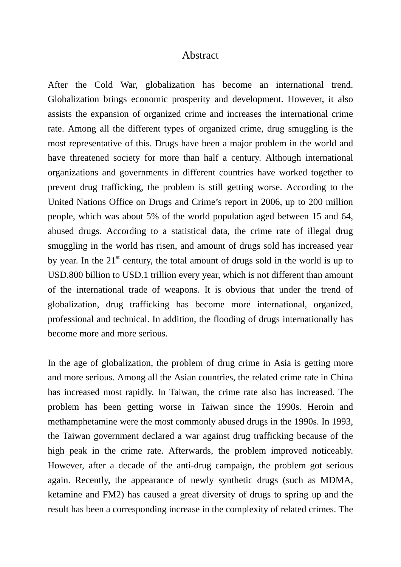## Abstract

After the Cold War, globalization has become an international trend. Globalization brings economic prosperity and development. However, it also assists the expansion of organized crime and increases the international crime rate. Among all the different types of organized crime, drug smuggling is the most representative of this. Drugs have been a major problem in the world and have threatened society for more than half a century. Although international organizations and governments in different countries have worked together to prevent drug trafficking, the problem is still getting worse. According to the United Nations Office on Drugs and Crime's report in 2006, up to 200 million people, which was about 5% of the world population aged between 15 and 64, abused drugs. According to a statistical data, the crime rate of illegal drug smuggling in the world has risen, and amount of drugs sold has increased year by year. In the  $21<sup>st</sup>$  century, the total amount of drugs sold in the world is up to USD.800 billion to USD.1 trillion every year, which is not different than amount of the international trade of weapons. It is obvious that under the trend of globalization, drug trafficking has become more international, organized, professional and technical. In addition, the flooding of drugs internationally has become more and more serious.

In the age of globalization, the problem of drug crime in Asia is getting more and more serious. Among all the Asian countries, the related crime rate in China has increased most rapidly. In Taiwan, the crime rate also has increased. The problem has been getting worse in Taiwan since the 1990s. Heroin and methamphetamine were the most commonly abused drugs in the 1990s. In 1993, the Taiwan government declared a war against drug trafficking because of the high peak in the crime rate. Afterwards, the problem improved noticeably. However, after a decade of the anti-drug campaign, the problem got serious again. Recently, the appearance of newly synthetic drugs (such as MDMA, ketamine and FM2) has caused a great diversity of drugs to spring up and the result has been a corresponding increase in the complexity of related crimes. The